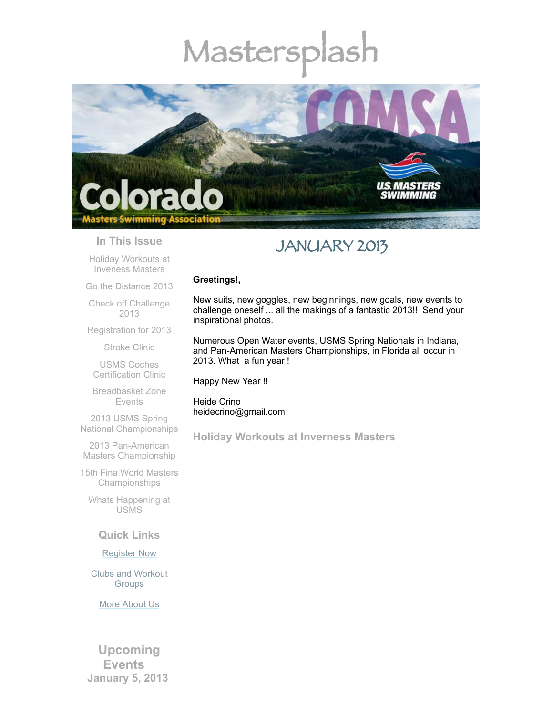# Mastersplash



#### **In This Issue**

Holiday [Workouts](#page-0-0) at Inveness Masters

Go the [Distance](#page-2-0) 2013

Check off [Challenge](#page-2-1) 2013

[Registration](#page-3-0) for 2013

[Stroke](#page-3-1) Clinic

USMS Coches [Certification](#page-4-0) Clinic

[Breadbasket](#page-4-1) Zone Events

2013 USMS Spring National [Championships](#page-4-2)

2013 Pan-American Masters [Championship](#page-4-3)

15th Fina World Masters [Championships](#page-5-0)

Whats [Happening](#page-5-1) at USMS

### **Quick Links**

[Register](http://comsa.org/joining/index.html) Now

Clubs and [Workout](http://comsa.org/clubs/index.html) Groups

More [About](http://comsa.org/) Us

**Upcoming Events January 5, 2013** 

# JANUARY 2013

#### **Greetings!,**

New suits, new goggles, new beginnings, new goals, new events to challenge oneself ... all the makings of a fantastic 2013!! Send your inspirational photos.

Numerous Open Water events, USMS Spring Nationals in Indiana, and Pan-American Masters Championships, in Florida all occur in 2013. What a fun year !

Happy New Year !!

Heide Crino heidecrino@gmail.com

<span id="page-0-0"></span>**Holiday Workouts at Inverness Masters**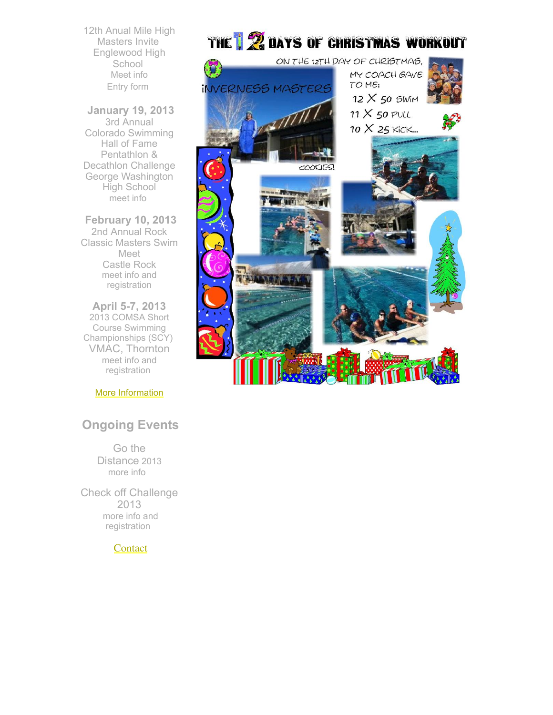12th Anual Mile High Masters Invite Englewood High School [Meet](http://www.usms.org/comp/event.php?MeetID=20130105MHMY) info [Entry](http://library.constantcontact.com/doc201/1108936408185/doc/8tMeBOZ5uzA8x1WE.pdf) form

**January 19, 2013** 3rd Annual Colorado Swimming Hall of Fame Pentathlon & Decathlon Challenge George Washington High School [meet](http://www.coshof.com/index.htm) info

**February 10, 2013** 2nd Annual Rock Classic Masters Swim Meet Castle Rock meet info and [registration](http://www.usms.org/comp/event.php?MeetID=20130210CASTLEY)

**April 5-7, 2013** 2013 COMSA Short Course Swimming Championships (SCY) VMAC, Thornton meet info and [registration](http://www.usms.org/comp/event.php?MeetID=20130405StateY)

More [Information](http://www.comsa.org/)

# **Ongoing Events**

Go the Distance 2013 [more](http://www.usms.org/fitness/content/gothedistance) info

Check off Challenge 2013 more info and [registration](http://www.usms.org/fitness/content/checkoff)

**[Contact](mailto:heidecrino@gmail.com?)** 



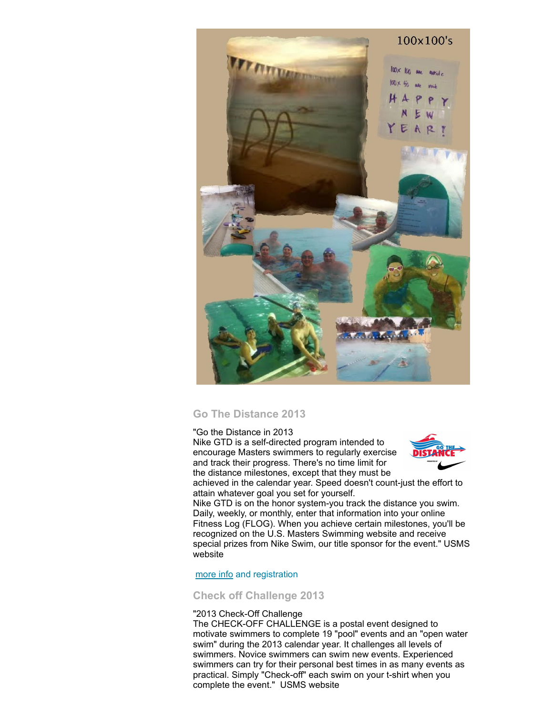

# <span id="page-2-0"></span>**Go The Distance 2013**

"Go the Distance in 2013

Nike GTD is a self-directed program intended to encourage Masters swimmers to regularly exercise and track their progress. There's no time limit for the distance milestones, except that they must be



achieved in the calendar year. Speed doesn't count-just the effort to attain whatever goal you set for yourself.

Nike GTD is on the honor system-you track the distance you swim. Daily, weekly, or monthly, enter that information into your online Fitness Log (FLOG). When you achieve certain milestones, you'll be recognized on the U.S. Masters Swimming website and receive special prizes from Nike Swim, our title sponsor for the event." USMS website

#### [more](http://www.usms.org/fitness/content/gothedistance) info and registration

## <span id="page-2-1"></span>**Check off Challenge 2013**

#### "2013 Check-Off Challenge

The CHECK-OFF CHALLENGE is a postal event designed to motivate swimmers to complete 19 "pool" events and an "open water swim" during the 2013 calendar year. It challenges all levels of swimmers. Novice swimmers can swim new events. Experienced swimmers can try for their personal best times in as many events as practical. Simply "Check-off" each swim on your t-shirt when you complete the event." USMS website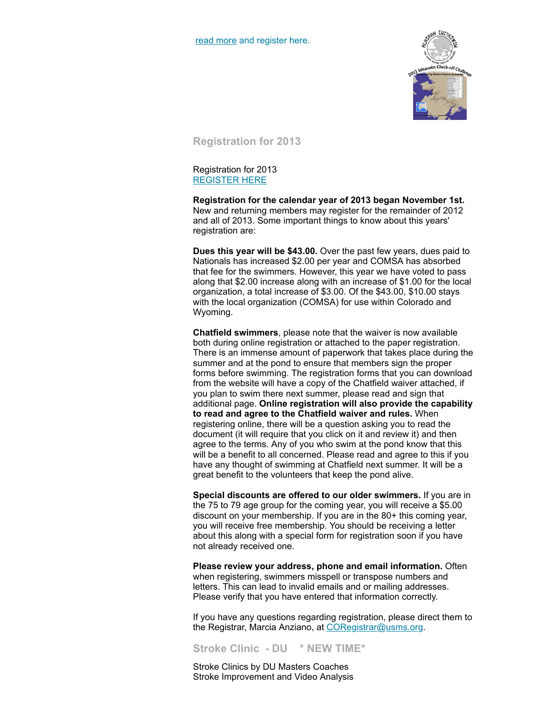

<span id="page-3-0"></span>**Registration for 2013**

Registration for 2013 [REGISTER](http://www.comsa.org/joining/join-online.html) HERE

**Registration for the calendar year of 2013 began November 1st.** New and returning members may register for the remainder of 2012 and all of 2013. Some important things to know about this years' registration are:

**Dues this year will be \$43.00.** Over the past few years, dues paid to Nationals has increased \$2.00 per year and COMSA has absorbed that fee for the swimmers. However, this year we have voted to pass along that \$2.00 increase along with an increase of \$1.00 for the local organization, a total increase of \$3.00. Of the \$43.00, \$10.00 stays with the local organization (COMSA) for use within Colorado and Wyoming.

**Chatfield swimmers**, please note that the waiver is now available both during online registration or attached to the paper registration. There is an immense amount of paperwork that takes place during the summer and at the pond to ensure that members sign the proper forms before swimming. The registration forms that you can download from the website will have a copy of the Chatfield waiver attached, if you plan to swim there next summer, please read and sign that additional page. **Online registration will also provide the capability to read and agree to the Chatfield waiver and rules.** When registering online, there will be a question asking you to read the document (it will require that you click on it and review it) and then agree to the terms. Any of you who swim at the pond know that this will be a benefit to all concerned. Please read and agree to this if you have any thought of swimming at Chatfield next summer. It will be a great benefit to the volunteers that keep the pond alive.

**Special discounts are offered to our older swimmers.** If you are in the 75 to 79 age group for the coming year, you will receive a \$5.00 discount on your membership. If you are in the 80+ this coming year, you will receive free membership. You should be receiving a letter about this along with a special form for registration soon if you have not already received one.

**Please review your address, phone and email information.** Often when registering, swimmers misspell or transpose numbers and letters. This can lead to invalid emails and or mailing addresses. Please verify that you have entered that information correctly.

If you have any questions regarding registration, please direct them to the Registrar, Marcia Anziano, at [CORegistrar@usms.org.](mailto:CORegistrar@USMS.org)

<span id="page-3-1"></span>**Stroke Clinic - DU \* NEW TIME\***

Stroke Clinics by DU Masters Coaches Stroke Improvement and Video Analysis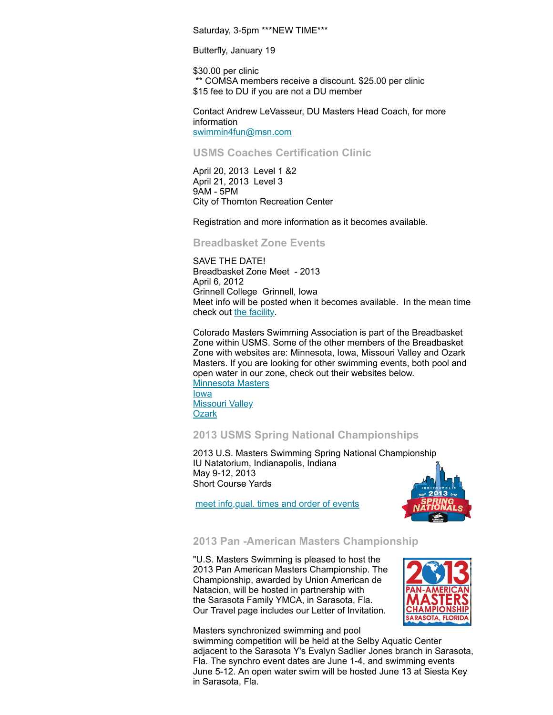Saturday, 3-5pm \*\*\*NEW TIME\*\*\*

Butterfly, January 19

\$30.00 per clinic \*\* COMSA members receive a discount. \$25.00 per clinic \$15 fee to DU if you are not a DU member

Contact Andrew LeVasseur, DU Masters Head Coach, for more information [swimmin4fun@msn.com](mailto:swimmin4fun@msn.com)

## <span id="page-4-0"></span>**USMS Coaches Certification Clinic**

April 20, 2013 Level 1 &2 April 21, 2013 Level 3 9AM - 5PM City of Thornton Recreation Center

Registration and more information as it becomes available.

#### <span id="page-4-1"></span>**Breadbasket Zone Events**

SAVE THE DATE! Breadbasket Zone Meet - 2013 April 6, 2012 Grinnell College Grinnell, Iowa Meet info will be posted when it becomes available. In the mean time check out the [facility.](http://pioneers.grinnell.edu/sports/2012/4/16/MSWIM_0416121255.aspx?id=67)

Colorado Masters Swimming Association is part of the Breadbasket Zone within USMS. Some of the other members of the Breadbasket Zone with websites are: Minnesota, Iowa, Missouri Valley and Ozark Masters. If you are looking for other swimming events, both pool and open water in our zone, check out their websites below. [Minnesota](http://www.minnesotamasters.com/) Masters [Iowa](http://www.iowamasters.org/) [Missouri](http://movymasters.com/) Valley **[Ozark](http://www.ozarklmsc.org/)** 

#### <span id="page-4-2"></span>**2013 USMS Spring National Championships**

2013 U.S. Masters Swimming Spring National Championship IU Natatorium, Indianapolis, Indiana May 9-12, 2013 Short Course Yards



meet [info,qual.](http://www.usms.org/comp/scnats13/) times and order of events

# <span id="page-4-3"></span>**2013 Pan -American Masters Championship**

"U.S. Masters Swimming is pleased to host the 2013 Pan American Masters Championship. The Championship, awarded by Union American de Natacion, will be hosted in partnership with the Sarasota Family YMCA, in Sarasota, Fla. Our Travel page includes our Letter of Invitation.



Masters synchronized swimming and pool swimming competition will be held at the Selby Aquatic Center adjacent to the Sarasota Y's Evalyn Sadlier Jones branch in Sarasota, Fla. The synchro event dates are June 1-4, and swimming events June 5-12. An open water swim will be hosted June 13 at Siesta Key in Sarasota, Fla.